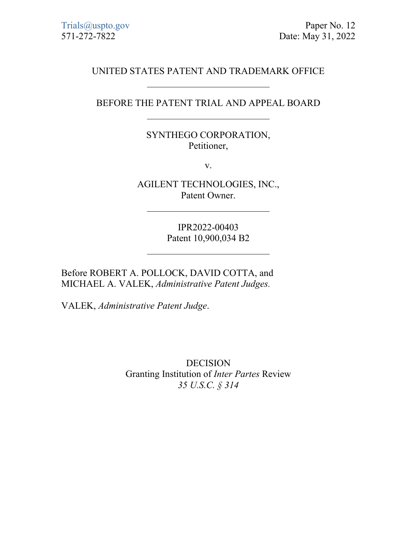## UNITED STATES PATENT AND TRADEMARK OFFICE

## BEFORE THE PATENT TRIAL AND APPEAL BOARD

## SYNTHEGO CORPORATION, Petitioner,

v.

AGILENT TECHNOLOGIES, INC., Patent Owner.

> IPR2022-00403 Patent 10,900,034 B2

Before ROBERT A. POLLOCK, DAVID COTTA, and MICHAEL A. VALEK, *Administrative Patent Judges.*

VALEK, *Administrative Patent Judge*.

DECISION Granting Institution of *Inter Partes* Review *35 U.S.C. § 314*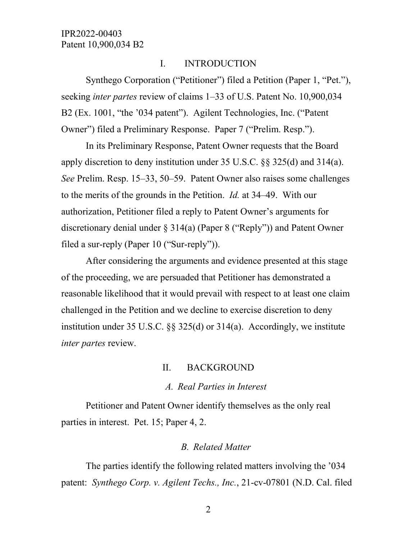#### I. INTRODUCTION

Synthego Corporation ("Petitioner") filed a Petition (Paper 1, "Pet."), seeking *inter partes* review of claims 1–33 of U.S. Patent No. 10,900,034 B2 (Ex. 1001, "the '034 patent"). Agilent Technologies, Inc. ("Patent Owner") filed a Preliminary Response. Paper 7 ("Prelim. Resp.").

In its Preliminary Response, Patent Owner requests that the Board apply discretion to deny institution under 35 U.S.C. §§ 325(d) and 314(a). *See* Prelim. Resp. 15–33, 50–59. Patent Owner also raises some challenges to the merits of the grounds in the Petition. *Id.* at 34–49. With our authorization, Petitioner filed a reply to Patent Owner's arguments for discretionary denial under § 314(a) (Paper 8 ("Reply")) and Patent Owner filed a sur-reply (Paper 10 ("Sur-reply")).

After considering the arguments and evidence presented at this stage of the proceeding, we are persuaded that Petitioner has demonstrated a reasonable likelihood that it would prevail with respect to at least one claim challenged in the Petition and we decline to exercise discretion to deny institution under 35 U.S.C.  $\S$  325(d) or 314(a). Accordingly, we institute *inter partes* review.

#### II. BACKGROUND

#### *A. Real Parties in Interest*

Petitioner and Patent Owner identify themselves as the only real parties in interest. Pet. 15; Paper 4, 2.

#### *B. Related Matter*

The parties identify the following related matters involving the '034 patent: *Synthego Corp. v. Agilent Techs., Inc.*, 21-cv-07801 (N.D. Cal. filed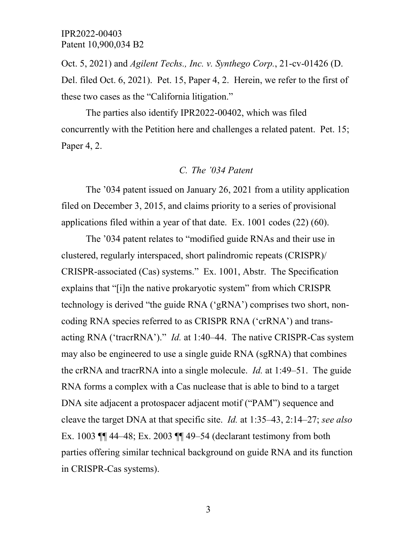Oct. 5, 2021) and *Agilent Techs., Inc. v. Synthego Corp.*, 21-cv-01426 (D. Del. filed Oct. 6, 2021). Pet. 15, Paper 4, 2. Herein, we refer to the first of these two cases as the "California litigation."

The parties also identify IPR2022-00402, which was filed concurrently with the Petition here and challenges a related patent. Pet. 15; Paper 4, 2.

#### *C. The '034 Patent*

The '034 patent issued on January 26, 2021 from a utility application filed on December 3, 2015, and claims priority to a series of provisional applications filed within a year of that date. Ex. 1001 codes (22) (60).

The '034 patent relates to "modified guide RNAs and their use in clustered, regularly interspaced, short palindromic repeats (CRISPR)/ CRISPR-associated (Cas) systems." Ex. 1001, Abstr. The Specification explains that "[i]n the native prokaryotic system" from which CRISPR technology is derived "the guide RNA ('gRNA') comprises two short, noncoding RNA species referred to as CRISPR RNA ('crRNA') and transacting RNA ('tracrRNA')." *Id.* at 1:40–44. The native CRISPR-Cas system may also be engineered to use a single guide RNA (sgRNA) that combines the crRNA and tracrRNA into a single molecule. *Id.* at 1:49–51. The guide RNA forms a complex with a Cas nuclease that is able to bind to a target DNA site adjacent a protospacer adjacent motif ("PAM") sequence and cleave the target DNA at that specific site. *Id.* at 1:35–43, 2:14–27; *see also*  Ex. 1003 ¶¶ 44–48; Ex. 2003 ¶¶ 49–54 (declarant testimony from both parties offering similar technical background on guide RNA and its function in CRISPR-Cas systems).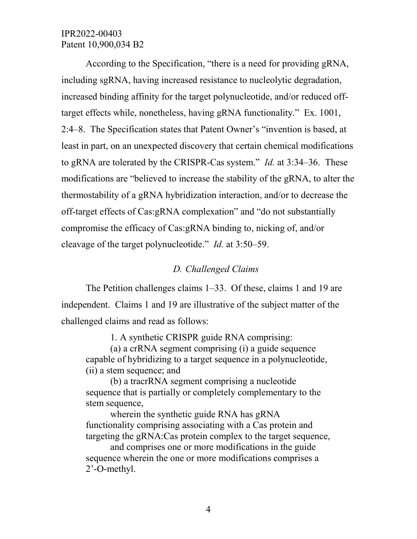According to the Specification, "there is a need for providing gRNA, including sgRNA, having increased resistance to nucleolytic degradation, increased binding affinity for the target polynucleotide, and/or reduced offtarget effects while, nonetheless, having gRNA functionality." Ex. 1001, 2:4–8. The Specification states that Patent Owner's "invention is based, at least in part, on an unexpected discovery that certain chemical modifications to gRNA are tolerated by the CRISPR-Cas system." *Id.* at 3:34–36. These modifications are "believed to increase the stability of the gRNA, to alter the thermostability of a gRNA hybridization interaction, and/or to decrease the off-target effects of Cas:gRNA complexation" and "do not substantially compromise the efficacy of Cas:gRNA binding to, nicking of, and/or cleavage of the target polynucleotide." *Id.* at 3:50–59.

## *D. Challenged Claims*

The Petition challenges claims 1–33. Of these, claims 1 and 19 are independent. Claims 1 and 19 are illustrative of the subject matter of the challenged claims and read as follows:

1. A synthetic CRISPR guide RNA comprising:

(a) a crRNA segment comprising (i) a guide sequence capable of hybridizing to a target sequence in a polynucleotide, (ii) a stem sequence; and

(b) a tracrRNA segment comprising a nucleotide sequence that is partially or completely complementary to the stem sequence,

wherein the synthetic guide RNA has gRNA functionality comprising associating with a Cas protein and targeting the gRNA:Cas protein complex to the target sequence,

and comprises one or more modifications in the guide sequence wherein the one or more modifications comprises a 2'-O-methyl.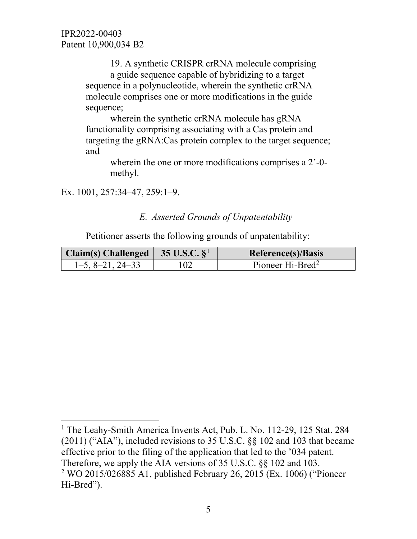19. A synthetic CRISPR crRNA molecule comprising a guide sequence capable of hybridizing to a target sequence in a polynucleotide, wherein the synthetic crRNA molecule comprises one or more modifications in the guide sequence;

wherein the synthetic crRNA molecule has gRNA functionality comprising associating with a Cas protein and targeting the gRNA:Cas protein complex to the target sequence; and

wherein the one or more modifications comprises a 2'-0 methyl.

Ex. 1001, 257:34–47, 259:1–9.

 $\overline{a}$ 

## *E. Asserted Grounds of Unpatentability*

Petitioner asserts the following grounds of unpatentability:

| Claim(s) Challenged $\vert$ 35 U.S.C. $\S^{\perp}$ |     | Reference(s)/Basis           |
|----------------------------------------------------|-----|------------------------------|
| $1-5, 8-21, 24-33$                                 | 102 | Pioneer Hi-Bred <sup>2</sup> |

<span id="page-4-1"></span><span id="page-4-0"></span><sup>&</sup>lt;sup>1</sup> The Leahy-Smith America Invents Act, Pub. L. No. 112-29, 125 Stat. 284  $(2011)$  ("AIA"), included revisions to 35 U.S.C.  $\S$ § 102 and 103 that became effective prior to the filing of the application that led to the '034 patent. Therefore, we apply the AIA versions of 35 U.S.C. §§ 102 and 103. <sup>2</sup> WO 2015/026885 A1, published February 26, 2015 (Ex. 1006) ("Pioneer Hi-Bred").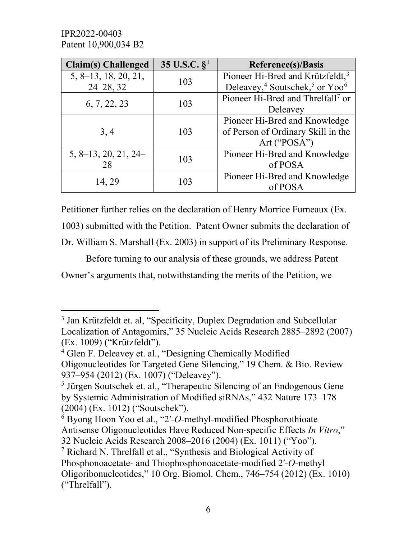$\overline{a}$ 

| <b>Claim(s)</b> Challenged | 35 U.S.C. $\S^1$ | <b>Reference(s)/Basis</b>                                          |  |
|----------------------------|------------------|--------------------------------------------------------------------|--|
| 5, 8–13, 18, 20, 21,       | 103              | Pioneer Hi-Bred and Krützfeldt, <sup>3</sup>                       |  |
| $24 - 28, 32$              |                  | Deleavey, <sup>4</sup> Soutschek, <sup>5</sup> or Yoo <sup>6</sup> |  |
|                            |                  | Pioneer Hi-Bred and Threlfall <sup>7</sup> or                      |  |
| 6, 7, 22, 23               | 103              | Deleavey                                                           |  |
|                            |                  | Pioneer Hi-Bred and Knowledge                                      |  |
| 3, 4                       | 103              | of Person of Ordinary Skill in the                                 |  |
|                            |                  | Art ("POSA")                                                       |  |
| $5, 8-13, 20, 21, 24-$     | 103              | Pioneer Hi-Bred and Knowledge                                      |  |
| 28                         |                  | of POSA                                                            |  |
| 14, 29                     | 103              | Pioneer Hi-Bred and Knowledge                                      |  |
|                            |                  | of POSA                                                            |  |

Petitioner further relies on the declaration of Henry Morrice Furneaux (Ex. 1003) submitted with the Petition. Patent Owner submits the declaration of Dr. William S. Marshall (Ex. 2003) in support of its Preliminary Response.

 Before turning to our analysis of these grounds, we address Patent Owner's arguments that, notwithstanding the merits of the Petition, we

<span id="page-5-0"></span><sup>&</sup>lt;sup>3</sup> Jan Krützfeldt et. al, "Specificity, Duplex Degradation and Subcellular Localization of Antagomirs," 35 Nucleic Acids Research 2885–2892 (2007) (Ex. 1009) ("Krützfeldt").

<span id="page-5-1"></span><sup>4</sup> Glen F. Deleavey et. al., "Designing Chemically Modified Oligonucleotides for Targeted Gene Silencing," 19 Chem. & Bio. Review 937–954 (2012) (Ex. 1007) ("Deleavey").

<span id="page-5-2"></span><sup>5</sup> Jürgen Soutschek et. al., "Therapeutic Silencing of an Endogenous Gene by Systemic Administration of Modified siRNAs," 432 Nature 173–178 (2004) (Ex. 1012) ("Soutschek").

<span id="page-5-3"></span><sup>6</sup> Byong Hoon Yoo et al., "2′-*O*-methyl-modified Phosphorothioate Antisense Oligonucleotides Have Reduced Non-specific Effects *In Vitro*," 32 Nucleic Acids Research 2008–2016 (2004) (Ex. 1011) ("Yoo").

<span id="page-5-4"></span><sup>7</sup> Richard N. Threlfall et al., "Synthesis and Biological Activity of Phosphonoacetate- and Thiophosphonoacetate-modified 2′-*O*-methyl Oligoribonucleotides," 10 Org. Biomol. Chem., 746–754 (2012) (Ex. 1010) ("Threlfall").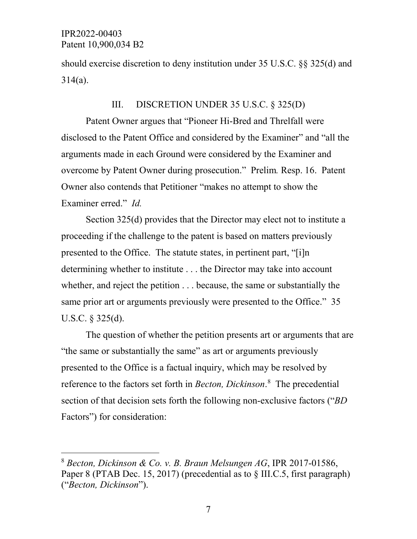should exercise discretion to deny institution under 35 U.S.C. §§ 325(d) and 314(a).

## III. DISCRETION UNDER 35 U.S.C. § 325(D)

Patent Owner argues that "Pioneer Hi-Bred and Threlfall were disclosed to the Patent Office and considered by the Examiner" and "all the arguments made in each Ground were considered by the Examiner and overcome by Patent Owner during prosecution." Prelim*.* Resp. 16. Patent Owner also contends that Petitioner "makes no attempt to show the Examiner erred." *Id.*

Section 325(d) provides that the Director may elect not to institute a proceeding if the challenge to the patent is based on matters previously presented to the Office. The statute states, in pertinent part, "[i]n determining whether to institute . . . the Director may take into account whether, and reject the petition . . . because, the same or substantially the same prior art or arguments previously were presented to the Office." 35 U.S.C. § 325(d).

The question of whether the petition presents art or arguments that are "the same or substantially the same" as art or arguments previously presented to the Office is a factual inquiry, which may be resolved by reference to the factors set forth in *Becton, Dickinson*. [8](#page-6-0) The precedential section of that decision sets forth the following non-exclusive factors ("*BD* Factors") for consideration:

<span id="page-6-0"></span> <sup>8</sup> *Becton, Dickinson & Co. v. B. Braun Melsungen AG*, IPR 2017-01586, Paper 8 (PTAB Dec. 15, 2017) (precedential as to § III.C.5, first paragraph) ("*Becton, Dickinson*").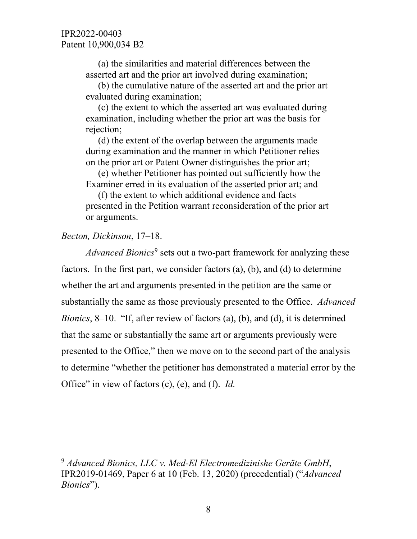(a) the similarities and material differences between the asserted art and the prior art involved during examination;

(b) the cumulative nature of the asserted art and the prior art evaluated during examination;

(c) the extent to which the asserted art was evaluated during examination, including whether the prior art was the basis for rejection;

(d) the extent of the overlap between the arguments made during examination and the manner in which Petitioner relies on the prior art or Patent Owner distinguishes the prior art;

(e) whether Petitioner has pointed out sufficiently how the Examiner erred in its evaluation of the asserted prior art; and

(f) the extent to which additional evidence and facts presented in the Petition warrant reconsideration of the prior art or arguments.

## *Becton, Dickinson*, 17–18.

*Advanced Bionics*<sup>[9](#page-7-0)</sup> sets out a two-part framework for analyzing these factors. In the first part, we consider factors (a), (b), and (d) to determine whether the art and arguments presented in the petition are the same or substantially the same as those previously presented to the Office. *Advanced Bionics*, 8–10. "If, after review of factors (a), (b), and (d), it is determined that the same or substantially the same art or arguments previously were presented to the Office," then we move on to the second part of the analysis to determine "whether the petitioner has demonstrated a material error by the Office" in view of factors (c), (e), and (f). *Id.*

<span id="page-7-0"></span> <sup>9</sup> *Advanced Bionics, LLC v. Med-El Electromedizinishe Gerӓte GmbH*, IPR2019-01469, Paper 6 at 10 (Feb. 13, 2020) (precedential) ("*Advanced Bionics*").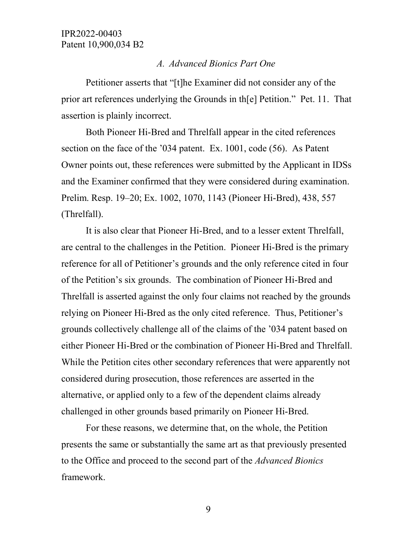#### *A. Advanced Bionics Part One*

Petitioner asserts that "[t]he Examiner did not consider any of the prior art references underlying the Grounds in th[e] Petition." Pet. 11. That assertion is plainly incorrect.

Both Pioneer Hi-Bred and Threlfall appear in the cited references section on the face of the '034 patent. Ex. 1001, code (56). As Patent Owner points out, these references were submitted by the Applicant in IDSs and the Examiner confirmed that they were considered during examination. Prelim. Resp. 19–20; Ex. 1002, 1070, 1143 (Pioneer Hi-Bred), 438, 557 (Threlfall).

It is also clear that Pioneer Hi-Bred, and to a lesser extent Threlfall, are central to the challenges in the Petition. Pioneer Hi-Bred is the primary reference for all of Petitioner's grounds and the only reference cited in four of the Petition's six grounds. The combination of Pioneer Hi-Bred and Threlfall is asserted against the only four claims not reached by the grounds relying on Pioneer Hi-Bred as the only cited reference. Thus, Petitioner's grounds collectively challenge all of the claims of the '034 patent based on either Pioneer Hi-Bred or the combination of Pioneer Hi-Bred and Threlfall. While the Petition cites other secondary references that were apparently not considered during prosecution, those references are asserted in the alternative, or applied only to a few of the dependent claims already challenged in other grounds based primarily on Pioneer Hi-Bred.

For these reasons, we determine that, on the whole, the Petition presents the same or substantially the same art as that previously presented to the Office and proceed to the second part of the *Advanced Bionics* framework.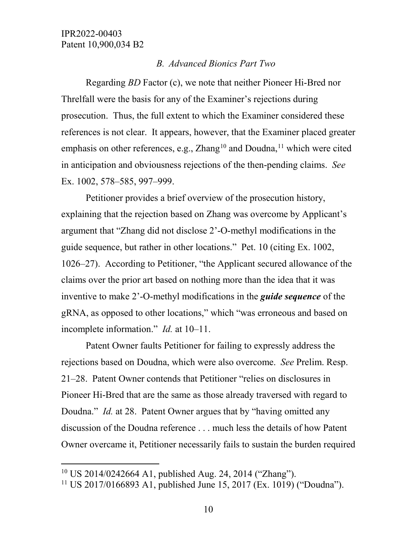## *B. Advanced Bionics Part Two*

Regarding *BD* Factor (c), we note that neither Pioneer Hi-Bred nor Threlfall were the basis for any of the Examiner's rejections during prosecution. Thus, the full extent to which the Examiner considered these references is not clear. It appears, however, that the Examiner placed greater emphasis on other references, e.g.,  $Zhang<sup>10</sup>$  $Zhang<sup>10</sup>$  $Zhang<sup>10</sup>$  and Doudna,<sup>[11](#page-9-1)</sup> which were cited in anticipation and obviousness rejections of the then-pending claims. *See*  Ex. 1002, 578–585, 997–999.

Petitioner provides a brief overview of the prosecution history, explaining that the rejection based on Zhang was overcome by Applicant's argument that "Zhang did not disclose 2'-O-methyl modifications in the guide sequence, but rather in other locations." Pet. 10 (citing Ex. 1002, 1026–27). According to Petitioner, "the Applicant secured allowance of the claims over the prior art based on nothing more than the idea that it was inventive to make 2'-O-methyl modifications in the *guide sequence* of the gRNA, as opposed to other locations," which "was erroneous and based on incomplete information." *Id.* at 10–11.

Patent Owner faults Petitioner for failing to expressly address the rejections based on Doudna, which were also overcome. *See* Prelim. Resp. 21–28. Patent Owner contends that Petitioner "relies on disclosures in Pioneer Hi-Bred that are the same as those already traversed with regard to Doudna." *Id.* at 28. Patent Owner argues that by "having omitted any discussion of the Doudna reference . . . much less the details of how Patent Owner overcame it, Petitioner necessarily fails to sustain the burden required

<span id="page-9-0"></span> <sup>10</sup> US 2014/0242664 A1, published Aug. 24, 2014 ("Zhang").

<span id="page-9-1"></span><sup>11</sup> US 2017/0166893 A1, published June 15, 2017 (Ex. 1019) ("Doudna").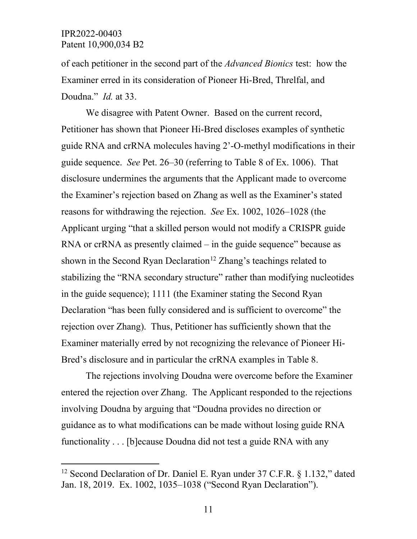$\overline{a}$ 

of each petitioner in the second part of the *Advanced Bionics* test: how the Examiner erred in its consideration of Pioneer Hi-Bred, Threlfal, and Doudna." *Id.* at 33.

We disagree with Patent Owner. Based on the current record, Petitioner has shown that Pioneer Hi-Bred discloses examples of synthetic guide RNA and crRNA molecules having 2'-O-methyl modifications in their guide sequence. *See* Pet. 26–30 (referring to Table 8 of Ex. 1006). That disclosure undermines the arguments that the Applicant made to overcome the Examiner's rejection based on Zhang as well as the Examiner's stated reasons for withdrawing the rejection. *See* Ex. 1002, 1026–1028 (the Applicant urging "that a skilled person would not modify a CRISPR guide RNA or crRNA as presently claimed – in the guide sequence" because as shown in the Second Ryan Declaration<sup>[12](#page-10-0)</sup> Zhang's teachings related to stabilizing the "RNA secondary structure" rather than modifying nucleotides in the guide sequence); 1111 (the Examiner stating the Second Ryan Declaration "has been fully considered and is sufficient to overcome" the rejection over Zhang). Thus, Petitioner has sufficiently shown that the Examiner materially erred by not recognizing the relevance of Pioneer Hi-Bred's disclosure and in particular the crRNA examples in Table 8.

The rejections involving Doudna were overcome before the Examiner entered the rejection over Zhang. The Applicant responded to the rejections involving Doudna by arguing that "Doudna provides no direction or guidance as to what modifications can be made without losing guide RNA functionality . . . [b]ecause Doudna did not test a guide RNA with any

<span id="page-10-0"></span><sup>&</sup>lt;sup>12</sup> Second Declaration of Dr. Daniel E. Ryan under 37 C.F.R. § 1.132," dated Jan. 18, 2019. Ex. 1002, 1035–1038 ("Second Ryan Declaration").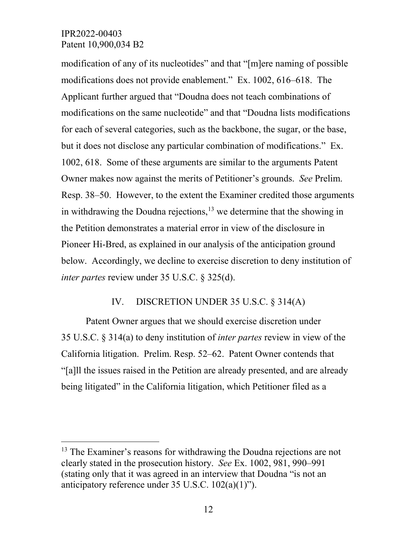modification of any of its nucleotides" and that "[m]ere naming of possible modifications does not provide enablement." Ex. 1002, 616–618. The Applicant further argued that "Doudna does not teach combinations of modifications on the same nucleotide" and that "Doudna lists modifications for each of several categories, such as the backbone, the sugar, or the base, but it does not disclose any particular combination of modifications." Ex. 1002, 618. Some of these arguments are similar to the arguments Patent Owner makes now against the merits of Petitioner's grounds. *See* Prelim. Resp. 38–50. However, to the extent the Examiner credited those arguments in withdrawing the Doudna rejections,  $13$  we determine that the showing in the Petition demonstrates a material error in view of the disclosure in Pioneer Hi-Bred, as explained in our analysis of the anticipation ground below. Accordingly, we decline to exercise discretion to deny institution of *inter partes* review under 35 U.S.C. § 325(d).

## IV. DISCRETION UNDER 35 U.S.C. § 314(A)

Patent Owner argues that we should exercise discretion under 35 U.S.C. § 314(a) to deny institution of *inter partes* review in view of the California litigation. Prelim. Resp. 52–62. Patent Owner contends that "[a]ll the issues raised in the Petition are already presented, and are already being litigated" in the California litigation, which Petitioner filed as a

<span id="page-11-0"></span><sup>&</sup>lt;sup>13</sup> The Examiner's reasons for withdrawing the Doudna rejections are not clearly stated in the prosecution history. *See* Ex. 1002, 981, 990–991 (stating only that it was agreed in an interview that Doudna "is not an anticipatory reference under 35 U.S.C. 102(a)(1)").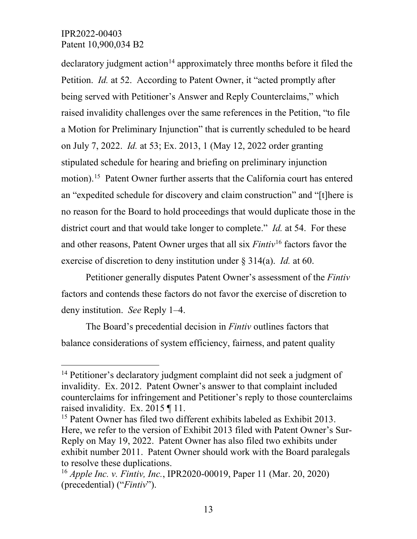$\alpha$  declaratory judgment action<sup>[14](#page-12-0)</sup> approximately three months before it filed the Petition. *Id.* at 52. According to Patent Owner, it "acted promptly after being served with Petitioner's Answer and Reply Counterclaims," which raised invalidity challenges over the same references in the Petition, "to file a Motion for Preliminary Injunction" that is currently scheduled to be heard on July 7, 2022. *Id.* at 53; Ex. 2013, 1 (May 12, 2022 order granting stipulated schedule for hearing and briefing on preliminary injunction motion).[15](#page-12-1) Patent Owner further asserts that the California court has entered an "expedited schedule for discovery and claim construction" and "[t]here is no reason for the Board to hold proceedings that would duplicate those in the district court and that would take longer to complete." *Id.* at 54. For these and other reasons, Patent Owner urges that all six *Fintiv*[16](#page-12-2) factors favor the exercise of discretion to deny institution under § 314(a). *Id.* at 60.

Petitioner generally disputes Patent Owner's assessment of the *Fintiv*  factors and contends these factors do not favor the exercise of discretion to deny institution. *See* Reply 1–4.

The Board's precedential decision in *Fintiv* outlines factors that balance considerations of system efficiency, fairness, and patent quality

<span id="page-12-0"></span><sup>&</sup>lt;sup>14</sup> Petitioner's declaratory judgment complaint did not seek a judgment of invalidity. Ex. 2012. Patent Owner's answer to that complaint included counterclaims for infringement and Petitioner's reply to those counterclaims raised invalidity. Ex. 2015 ¶ 11.

<span id="page-12-1"></span><sup>&</sup>lt;sup>15</sup> Patent Owner has filed two different exhibits labeled as Exhibit 2013. Here, we refer to the version of Exhibit 2013 filed with Patent Owner's Sur-Reply on May 19, 2022. Patent Owner has also filed two exhibits under exhibit number 2011. Patent Owner should work with the Board paralegals to resolve these duplications.

<span id="page-12-2"></span><sup>16</sup> *Apple Inc. v. Fintiv, Inc.*, IPR2020-00019, Paper 11 (Mar. 20, 2020) (precedential) ("*Fintiv*").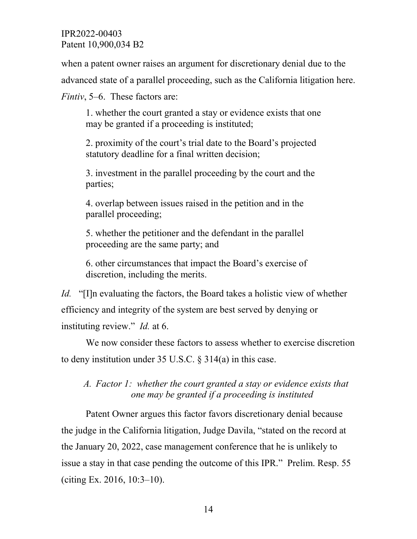when a patent owner raises an argument for discretionary denial due to the

advanced state of a parallel proceeding, such as the California litigation here.

*Fintiv*, 5–6. These factors are:

1. whether the court granted a stay or evidence exists that one may be granted if a proceeding is instituted;

2. proximity of the court's trial date to the Board's projected statutory deadline for a final written decision;

3. investment in the parallel proceeding by the court and the parties;

4. overlap between issues raised in the petition and in the parallel proceeding;

5. whether the petitioner and the defendant in the parallel proceeding are the same party; and

6. other circumstances that impact the Board's exercise of discretion, including the merits.

*Id.* "[I]n evaluating the factors, the Board takes a holistic view of whether efficiency and integrity of the system are best served by denying or instituting review." *Id.* at 6.

We now consider these factors to assess whether to exercise discretion to deny institution under 35 U.S.C. § 314(a) in this case.

*A. Factor 1: whether the court granted a stay or evidence exists that one may be granted if a proceeding is instituted*

Patent Owner argues this factor favors discretionary denial because the judge in the California litigation, Judge Davila, "stated on the record at the January 20, 2022, case management conference that he is unlikely to issue a stay in that case pending the outcome of this IPR." Prelim. Resp. 55 (citing Ex. 2016, 10:3–10).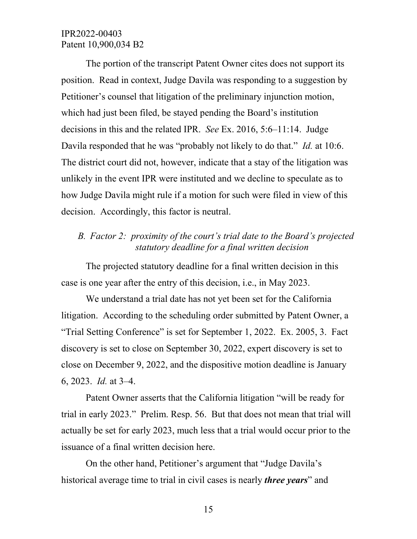The portion of the transcript Patent Owner cites does not support its position. Read in context, Judge Davila was responding to a suggestion by Petitioner's counsel that litigation of the preliminary injunction motion, which had just been filed, be stayed pending the Board's institution decisions in this and the related IPR. *See* Ex. 2016, 5:6–11:14. Judge Davila responded that he was "probably not likely to do that." *Id.* at 10:6. The district court did not, however, indicate that a stay of the litigation was unlikely in the event IPR were instituted and we decline to speculate as to how Judge Davila might rule if a motion for such were filed in view of this decision. Accordingly, this factor is neutral.

## *B. Factor 2: proximity of the court's trial date to the Board's projected statutory deadline for a final written decision*

The projected statutory deadline for a final written decision in this case is one year after the entry of this decision, i.e., in May 2023.

We understand a trial date has not yet been set for the California litigation. According to the scheduling order submitted by Patent Owner, a "Trial Setting Conference" is set for September 1, 2022. Ex. 2005, 3. Fact discovery is set to close on September 30, 2022, expert discovery is set to close on December 9, 2022, and the dispositive motion deadline is January 6, 2023. *Id.* at 3–4.

Patent Owner asserts that the California litigation "will be ready for trial in early 2023." Prelim. Resp. 56. But that does not mean that trial will actually be set for early 2023, much less that a trial would occur prior to the issuance of a final written decision here.

On the other hand, Petitioner's argument that "Judge Davila's historical average time to trial in civil cases is nearly *three years*" and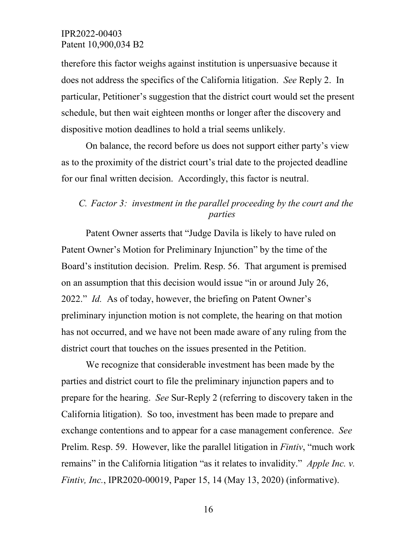therefore this factor weighs against institution is unpersuasive because it does not address the specifics of the California litigation. *See* Reply 2. In particular, Petitioner's suggestion that the district court would set the present schedule, but then wait eighteen months or longer after the discovery and dispositive motion deadlines to hold a trial seems unlikely.

On balance, the record before us does not support either party's view as to the proximity of the district court's trial date to the projected deadline for our final written decision. Accordingly, this factor is neutral.

## *C. Factor 3: investment in the parallel proceeding by the court and the parties*

Patent Owner asserts that "Judge Davila is likely to have ruled on Patent Owner's Motion for Preliminary Injunction" by the time of the Board's institution decision. Prelim. Resp. 56. That argument is premised on an assumption that this decision would issue "in or around July 26, 2022." *Id.* As of today, however, the briefing on Patent Owner's preliminary injunction motion is not complete, the hearing on that motion has not occurred, and we have not been made aware of any ruling from the district court that touches on the issues presented in the Petition.

We recognize that considerable investment has been made by the parties and district court to file the preliminary injunction papers and to prepare for the hearing. *See* Sur-Reply 2 (referring to discovery taken in the California litigation). So too, investment has been made to prepare and exchange contentions and to appear for a case management conference. *See*  Prelim. Resp. 59. However, like the parallel litigation in *Fintiv*, "much work remains" in the California litigation "as it relates to invalidity." *Apple Inc. v. Fintiv, Inc.*, IPR2020-00019, Paper 15, 14 (May 13, 2020) (informative).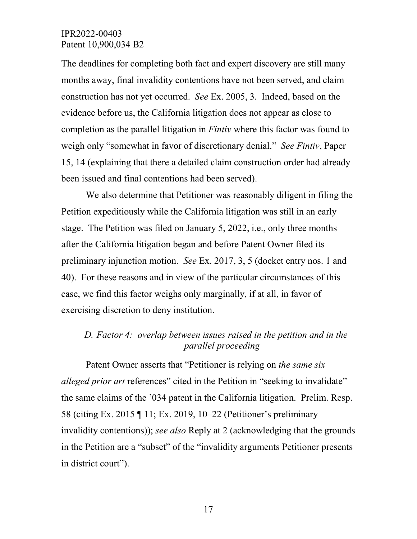The deadlines for completing both fact and expert discovery are still many months away, final invalidity contentions have not been served, and claim construction has not yet occurred. *See* Ex. 2005, 3. Indeed, based on the evidence before us, the California litigation does not appear as close to completion as the parallel litigation in *Fintiv* where this factor was found to weigh only "somewhat in favor of discretionary denial." *See Fintiv*, Paper 15, 14 (explaining that there a detailed claim construction order had already been issued and final contentions had been served).

We also determine that Petitioner was reasonably diligent in filing the Petition expeditiously while the California litigation was still in an early stage. The Petition was filed on January 5, 2022, i.e., only three months after the California litigation began and before Patent Owner filed its preliminary injunction motion. *See* Ex. 2017, 3, 5 (docket entry nos. 1 and 40). For these reasons and in view of the particular circumstances of this case, we find this factor weighs only marginally, if at all, in favor of exercising discretion to deny institution.

## *D. Factor 4: overlap between issues raised in the petition and in the parallel proceeding*

Patent Owner asserts that "Petitioner is relying on *the same six alleged prior art* references" cited in the Petition in "seeking to invalidate" the same claims of the '034 patent in the California litigation. Prelim. Resp. 58 (citing Ex. 2015 ¶ 11; Ex. 2019, 10–22 (Petitioner's preliminary invalidity contentions)); *see also* Reply at 2 (acknowledging that the grounds in the Petition are a "subset" of the "invalidity arguments Petitioner presents in district court").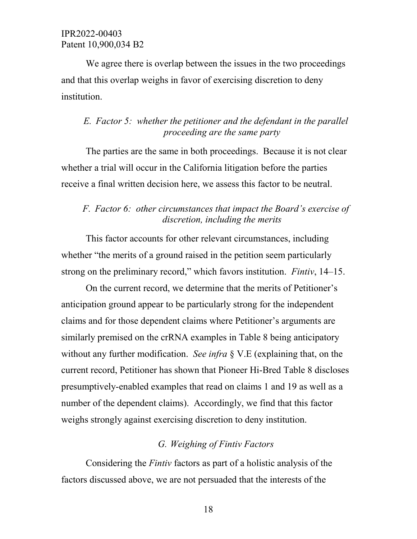We agree there is overlap between the issues in the two proceedings and that this overlap weighs in favor of exercising discretion to deny institution.

## *E. Factor 5: whether the petitioner and the defendant in the parallel proceeding are the same party*

The parties are the same in both proceedings. Because it is not clear whether a trial will occur in the California litigation before the parties receive a final written decision here, we assess this factor to be neutral.

## *F. Factor 6: other circumstances that impact the Board's exercise of discretion, including the merits*

This factor accounts for other relevant circumstances, including whether "the merits of a ground raised in the petition seem particularly strong on the preliminary record," which favors institution. *Fintiv*, 14–15.

On the current record, we determine that the merits of Petitioner's anticipation ground appear to be particularly strong for the independent claims and for those dependent claims where Petitioner's arguments are similarly premised on the crRNA examples in Table 8 being anticipatory without any further modification. *See infra* § V.E (explaining that, on the current record, Petitioner has shown that Pioneer Hi-Bred Table 8 discloses presumptively-enabled examples that read on claims 1 and 19 as well as a number of the dependent claims). Accordingly, we find that this factor weighs strongly against exercising discretion to deny institution.

## *G. Weighing of Fintiv Factors*

Considering the *Fintiv* factors as part of a holistic analysis of the factors discussed above, we are not persuaded that the interests of the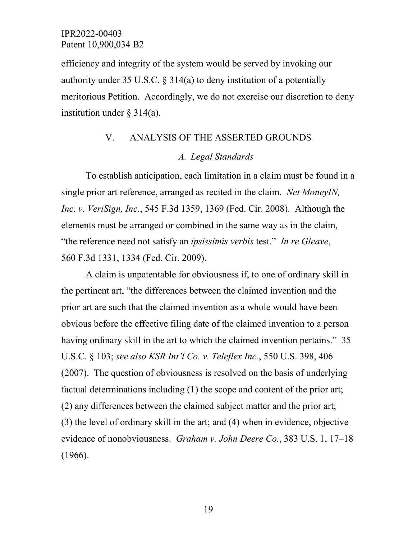efficiency and integrity of the system would be served by invoking our authority under 35 U.S.C. § 314(a) to deny institution of a potentially meritorious Petition. Accordingly, we do not exercise our discretion to deny institution under § 314(a).

## V. ANALYSIS OF THE ASSERTED GROUNDS *A. Legal Standards*

To establish anticipation, each limitation in a claim must be found in a single prior art reference, arranged as recited in the claim. *Net MoneyIN, Inc. v. VeriSign, Inc.*, 545 F.3d 1359, 1369 (Fed. Cir. 2008). Although the elements must be arranged or combined in the same way as in the claim, "the reference need not satisfy an *ipsissimis verbis* test." *In re Gleave*, 560 F.3d 1331, 1334 (Fed. Cir. 2009).

A claim is unpatentable for obviousness if, to one of ordinary skill in the pertinent art, "the differences between the claimed invention and the prior art are such that the claimed invention as a whole would have been obvious before the effective filing date of the claimed invention to a person having ordinary skill in the art to which the claimed invention pertains." 35 U.S.C. § 103; *see also KSR Int'l Co. v. Teleflex Inc.*, 550 U.S. 398, 406 (2007). The question of obviousness is resolved on the basis of underlying factual determinations including (1) the scope and content of the prior art; (2) any differences between the claimed subject matter and the prior art; (3) the level of ordinary skill in the art; and (4) when in evidence, objective evidence of nonobviousness. *Graham v. John Deere Co.*, 383 U.S. 1, 17–18 (1966).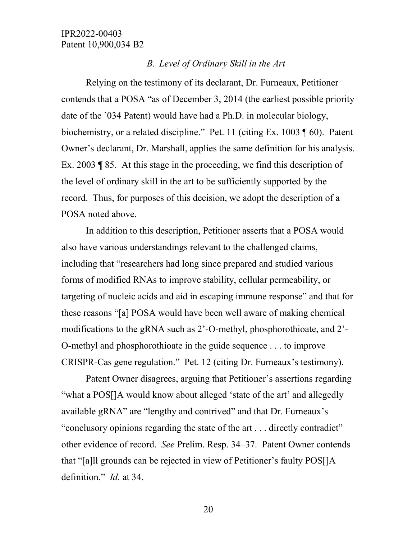#### *B. Level of Ordinary Skill in the Art*

Relying on the testimony of its declarant, Dr. Furneaux, Petitioner contends that a POSA "as of December 3, 2014 (the earliest possible priority date of the '034 Patent) would have had a Ph.D. in molecular biology, biochemistry, or a related discipline." Pet. 11 (citing Ex. 1003 ¶ 60). Patent Owner's declarant, Dr. Marshall, applies the same definition for his analysis. Ex. 2003 ¶ 85. At this stage in the proceeding, we find this description of the level of ordinary skill in the art to be sufficiently supported by the record. Thus, for purposes of this decision, we adopt the description of a POSA noted above.

In addition to this description, Petitioner asserts that a POSA would also have various understandings relevant to the challenged claims, including that "researchers had long since prepared and studied various forms of modified RNAs to improve stability, cellular permeability, or targeting of nucleic acids and aid in escaping immune response" and that for these reasons "[a] POSA would have been well aware of making chemical modifications to the gRNA such as 2'-O-methyl, phosphorothioate, and 2'- O-methyl and phosphorothioate in the guide sequence . . . to improve CRISPR-Cas gene regulation." Pet. 12 (citing Dr. Furneaux's testimony).

Patent Owner disagrees, arguing that Petitioner's assertions regarding "what a POS[]A would know about alleged 'state of the art' and allegedly available gRNA" are "lengthy and contrived" and that Dr. Furneaux's "conclusory opinions regarding the state of the art . . . directly contradict" other evidence of record. *See* Prelim. Resp. 34–37. Patent Owner contends that "[a]ll grounds can be rejected in view of Petitioner's faulty POS[]A definition." *Id.* at 34.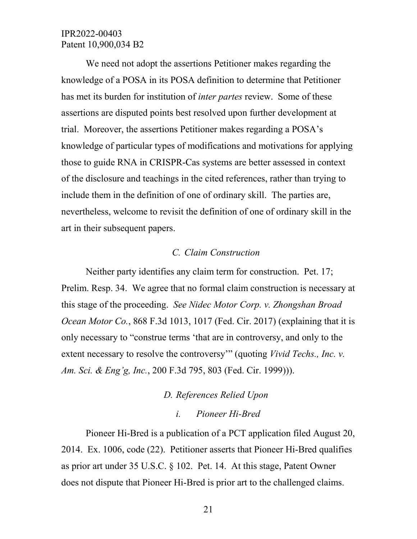We need not adopt the assertions Petitioner makes regarding the knowledge of a POSA in its POSA definition to determine that Petitioner has met its burden for institution of *inter partes* review. Some of these assertions are disputed points best resolved upon further development at trial. Moreover, the assertions Petitioner makes regarding a POSA's knowledge of particular types of modifications and motivations for applying those to guide RNA in CRISPR-Cas systems are better assessed in context of the disclosure and teachings in the cited references, rather than trying to include them in the definition of one of ordinary skill. The parties are, nevertheless, welcome to revisit the definition of one of ordinary skill in the art in their subsequent papers.

#### *C. Claim Construction*

Neither party identifies any claim term for construction. Pet. 17; Prelim. Resp. 34. We agree that no formal claim construction is necessary at this stage of the proceeding. *See Nidec Motor Corp. v. Zhongshan Broad Ocean Motor Co.*, 868 F.3d 1013, 1017 (Fed. Cir. 2017) (explaining that it is only necessary to "construe terms 'that are in controversy, and only to the extent necessary to resolve the controversy'" (quoting *Vivid Techs., Inc. v. Am. Sci. & Eng'g, Inc.*, 200 F.3d 795, 803 (Fed. Cir. 1999))).

# *D. References Relied Upon*

#### *i. Pioneer Hi-Bred*

Pioneer Hi-Bred is a publication of a PCT application filed August 20, 2014. Ex. 1006, code (22). Petitioner asserts that Pioneer Hi-Bred qualifies as prior art under 35 U.S.C. § 102. Pet. 14. At this stage, Patent Owner does not dispute that Pioneer Hi-Bred is prior art to the challenged claims.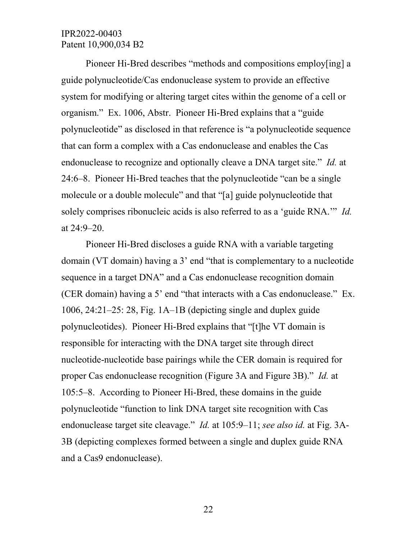Pioneer Hi-Bred describes "methods and compositions employ[ing] a guide polynucleotide/Cas endonuclease system to provide an effective system for modifying or altering target cites within the genome of a cell or organism." Ex. 1006, Abstr. Pioneer Hi-Bred explains that a "guide polynucleotide" as disclosed in that reference is "a polynucleotide sequence that can form a complex with a Cas endonuclease and enables the Cas endonuclease to recognize and optionally cleave a DNA target site." *Id.* at 24:6–8. Pioneer Hi-Bred teaches that the polynucleotide "can be a single molecule or a double molecule" and that "[a] guide polynucleotide that solely comprises ribonucleic acids is also referred to as a 'guide RNA.'" *Id.* at 24:9–20.

Pioneer Hi-Bred discloses a guide RNA with a variable targeting domain (VT domain) having a 3' end "that is complementary to a nucleotide sequence in a target DNA" and a Cas endonuclease recognition domain (CER domain) having a 5' end "that interacts with a Cas endonuclease." Ex. 1006, 24:21–25: 28, Fig. 1A–1B (depicting single and duplex guide polynucleotides). Pioneer Hi-Bred explains that "[t]he VT domain is responsible for interacting with the DNA target site through direct nucleotide-nucleotide base pairings while the CER domain is required for proper Cas endonuclease recognition (Figure 3A and Figure 3B)." *Id.* at 105:5–8. According to Pioneer Hi-Bred, these domains in the guide polynucleotide "function to link DNA target site recognition with Cas endonuclease target site cleavage." *Id.* at 105:9–11; *see also id.* at Fig. 3A-3B (depicting complexes formed between a single and duplex guide RNA and a Cas9 endonuclease).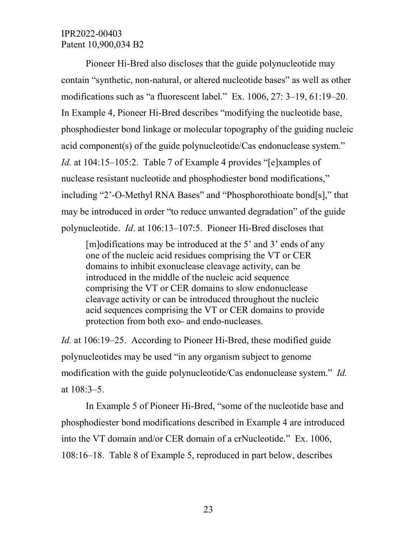Pioneer Hi-Bred also discloses that the guide polynucleotide may contain "synthetic, non-natural, or altered nucleotide bases" as well as other modifications such as "a fluorescent label." Ex. 1006, 27: 3–19, 61:19–20. In Example 4, Pioneer Hi-Bred describes "modifying the nucleotide base, phosphodiester bond linkage or molecular topography of the guiding nucleic acid component(s) of the guide polynucleotide/Cas endonuclease system." *Id.* at 104:15–105:2. Table 7 of Example 4 provides "[e]xamples of nuclease resistant nucleotide and phosphodiester bond modifications," including "2'-O-Methyl RNA Bases" and "Phosphorothioate bond[s]," that may be introduced in order "to reduce unwanted degradation" of the guide polynucleotide. *Id*. at 106:13–107:5. Pioneer Hi-Bred discloses that

[m]odifications may be introduced at the 5' and 3' ends of any one of the nucleic acid residues comprising the VT or CER domains to inhibit exonuclease cleavage activity, can be introduced in the middle of the nucleic acid sequence comprising the VT or CER domains to slow endonuclease cleavage activity or can be introduced throughout the nucleic acid sequences comprising the VT or CER domains to provide protection from both exo- and endo-nucleases.

*Id.* at 106:19–25. According to Pioneer Hi-Bred, these modified guide polynucleotides may be used "in any organism subject to genome modification with the guide polynucleotide/Cas endonuclease system." *Id.* at 108:3–5.

In Example 5 of Pioneer Hi-Bred, "some of the nucleotide base and phosphodiester bond modifications described in Example 4 are introduced into the VT domain and/or CER domain of a crNucleotide." Ex. 1006, 108:16–18. Table 8 of Example 5, reproduced in part below, describes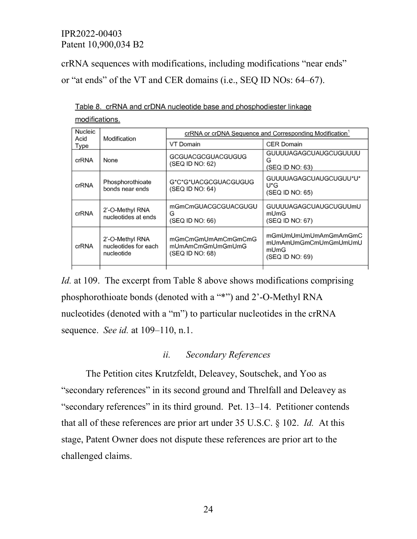crRNA sequences with modifications, including modifications "near ends" or "at ends" of the VT and CER domains (i.e., SEQ ID NOs: 64–67).

|                |  |  |  | Table 8. crRNA and crDNA nucleotide base and phosphodiester linkage |  |
|----------------|--|--|--|---------------------------------------------------------------------|--|
| modifications. |  |  |  |                                                                     |  |

| Nucleic<br>Acid | Modification                                          | crRNA or crDNA Sequence and Corresponding Modification <sup>1</sup> |                                                                         |  |  |
|-----------------|-------------------------------------------------------|---------------------------------------------------------------------|-------------------------------------------------------------------------|--|--|
| Type            |                                                       | VT Domain                                                           | <b>CER Domain</b>                                                       |  |  |
| crRNA           | None                                                  | GCGUACGCGUACGUGUG<br>(SEQ ID NO: 62)                                | GUUUUAGAGCUAUGCUGUUUU<br>G<br>(SEQ ID NO: 63)                           |  |  |
| crRNA           | Phosphorothioate<br>bonds near ends                   | G*C*G*UACGCGUACGUGUG<br>(SEQ ID NO: 64)                             | GUUUUAGAGCUAUGCUGUU*U*<br>U*G<br>(SEQ ID NO: 65)                        |  |  |
| crRNA           | 2'-O-Methyl RNA<br>nucleotides at ends                | mGmCmGUACGCGUACGUGU<br>G<br>(SEQ ID NO: 66)                         | GUUUUAGAGCUAUGCUGUUmU<br>mUmG<br>(SEQ ID NO: 67)                        |  |  |
| crRNA           | 2'-O-Methyl RNA<br>nucleotides for each<br>nucleotide | mGmCmGmUmAmCmGmCmG<br>mUmAmCmGmUmGmUmG<br>(SEQ ID NO: 68)           | mGmUmUmUmUmAmGmAmGmC<br>mUmAmUmGmCmUmGmUmUmU<br>mUmG<br>(SEQ ID NO: 69) |  |  |
|                 |                                                       |                                                                     |                                                                         |  |  |

*Id.* at 109. The excerpt from Table 8 above shows modifications comprising phosphorothioate bonds (denoted with a "\*") and 2'-O-Methyl RNA nucleotides (denoted with a "m") to particular nucleotides in the crRNA sequence. *See id.* at 109–110, n.1.

#### *ii. Secondary References*

The Petition cites Krutzfeldt, Deleavey, Soutschek, and Yoo as "secondary references" in its second ground and Threlfall and Deleavey as "secondary references" in its third ground. Pet. 13–14. Petitioner contends that all of these references are prior art under 35 U.S.C. § 102. *Id.* At this stage, Patent Owner does not dispute these references are prior art to the challenged claims.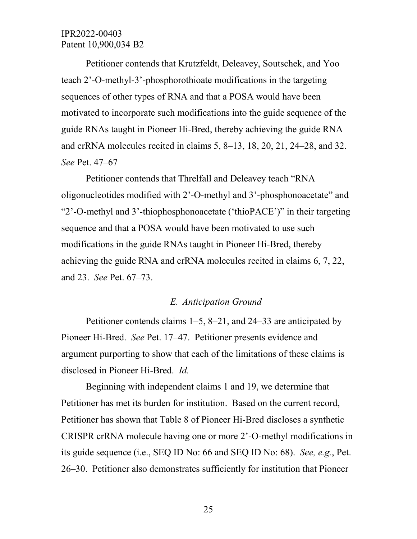Petitioner contends that Krutzfeldt, Deleavey, Soutschek, and Yoo teach 2'-O-methyl-3'-phosphorothioate modifications in the targeting sequences of other types of RNA and that a POSA would have been motivated to incorporate such modifications into the guide sequence of the guide RNAs taught in Pioneer Hi-Bred, thereby achieving the guide RNA and crRNA molecules recited in claims 5, 8–13, 18, 20, 21, 24–28, and 32. *See* Pet. 47–67

Petitioner contends that Threlfall and Deleavey teach "RNA oligonucleotides modified with 2'-O-methyl and 3'-phosphonoacetate" and "2'-O-methyl and 3'-thiophosphonoacetate ('thioPACE')" in their targeting sequence and that a POSA would have been motivated to use such modifications in the guide RNAs taught in Pioneer Hi-Bred, thereby achieving the guide RNA and crRNA molecules recited in claims 6, 7, 22, and 23. *See* Pet. 67–73.

#### *E. Anticipation Ground*

Petitioner contends claims 1–5, 8–21, and 24–33 are anticipated by Pioneer Hi-Bred. *See* Pet. 17–47. Petitioner presents evidence and argument purporting to show that each of the limitations of these claims is disclosed in Pioneer Hi-Bred. *Id.* 

Beginning with independent claims 1 and 19, we determine that Petitioner has met its burden for institution. Based on the current record, Petitioner has shown that Table 8 of Pioneer Hi-Bred discloses a synthetic CRISPR crRNA molecule having one or more 2'-O-methyl modifications in its guide sequence (i.e., SEQ ID No: 66 and SEQ ID No: 68). *See, e.g.*, Pet. 26–30. Petitioner also demonstrates sufficiently for institution that Pioneer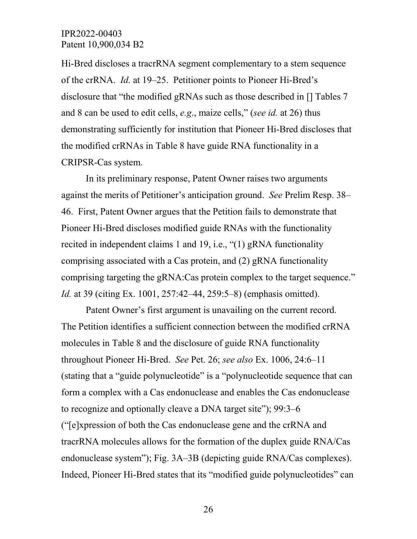Hi-Bred discloses a tracrRNA segment complementary to a stem sequence of the crRNA. *Id.* at 19–25. Petitioner points to Pioneer Hi-Bred's disclosure that "the modified gRNAs such as those described in [] Tables 7 and 8 can be used to edit cells, *e.g*., maize cells," (*see id.* at 26) thus demonstrating sufficiently for institution that Pioneer Hi-Bred discloses that the modified crRNAs in Table 8 have guide RNA functionality in a CRIPSR-Cas system.

In its preliminary response, Patent Owner raises two arguments against the merits of Petitioner's anticipation ground. *See* Prelim Resp. 38– 46. First, Patent Owner argues that the Petition fails to demonstrate that Pioneer Hi-Bred discloses modified guide RNAs with the functionality recited in independent claims 1 and 19, i.e., "(1) gRNA functionality comprising associated with a Cas protein, and (2) gRNA functionality comprising targeting the gRNA:Cas protein complex to the target sequence." *Id.* at 39 (citing Ex. 1001, 257:42–44, 259:5–8) (emphasis omitted).

Patent Owner's first argument is unavailing on the current record. The Petition identifies a sufficient connection between the modified crRNA molecules in Table 8 and the disclosure of guide RNA functionality throughout Pioneer Hi-Bred. *See* Pet. 26; *see also* Ex. 1006, 24:6–11 (stating that a "guide polynucleotide" is a "polynucleotide sequence that can form a complex with a Cas endonuclease and enables the Cas endonuclease to recognize and optionally cleave a DNA target site"); 99:3–6 ("[e]xpression of both the Cas endonuclease gene and the crRNA and tracrRNA molecules allows for the formation of the duplex guide RNA/Cas endonuclease system"); Fig. 3A–3B (depicting guide RNA/Cas complexes). Indeed, Pioneer Hi-Bred states that its "modified guide polynucleotides" can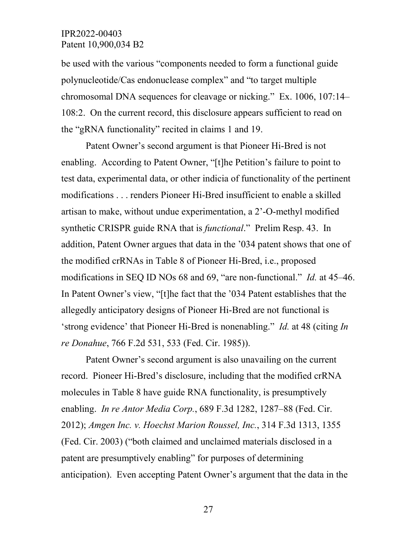be used with the various "components needed to form a functional guide polynucleotide/Cas endonuclease complex" and "to target multiple chromosomal DNA sequences for cleavage or nicking." Ex. 1006, 107:14– 108:2. On the current record, this disclosure appears sufficient to read on the "gRNA functionality" recited in claims 1 and 19.

 Patent Owner's second argument is that Pioneer Hi-Bred is not enabling. According to Patent Owner, "[t]he Petition's failure to point to test data, experimental data, or other indicia of functionality of the pertinent modifications . . . renders Pioneer Hi-Bred insufficient to enable a skilled artisan to make, without undue experimentation, a 2'-O-methyl modified synthetic CRISPR guide RNA that is *functional*." Prelim Resp. 43. In addition, Patent Owner argues that data in the '034 patent shows that one of the modified crRNAs in Table 8 of Pioneer Hi-Bred, i.e., proposed modifications in SEQ ID NOs 68 and 69, "are non-functional." *Id.* at 45–46. In Patent Owner's view, "[t]he fact that the '034 Patent establishes that the allegedly anticipatory designs of Pioneer Hi-Bred are not functional is 'strong evidence' that Pioneer Hi-Bred is nonenabling." *Id.* at 48 (citing *In re Donahue*, 766 F.2d 531, 533 (Fed. Cir. 1985)).

Patent Owner's second argument is also unavailing on the current record. Pioneer Hi-Bred's disclosure, including that the modified crRNA molecules in Table 8 have guide RNA functionality, is presumptively enabling. *In re Antor Media Corp.*, 689 F.3d 1282, 1287–88 (Fed. Cir. 2012); *Amgen Inc. v. Hoechst Marion Roussel, Inc.*, 314 F.3d 1313, 1355 (Fed. Cir. 2003) ("both claimed and unclaimed materials disclosed in a patent are presumptively enabling" for purposes of determining anticipation). Even accepting Patent Owner's argument that the data in the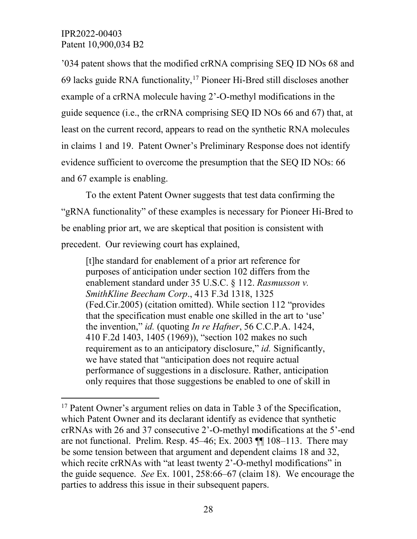'034 patent shows that the modified crRNA comprising SEQ ID NOs 68 and 69 lacks guide RNA functionality,  $17$  Pioneer Hi-Bred still discloses another example of a crRNA molecule having 2'-O-methyl modifications in the guide sequence (i.e., the crRNA comprising SEQ ID NOs 66 and 67) that, at least on the current record, appears to read on the synthetic RNA molecules in claims 1 and 19. Patent Owner's Preliminary Response does not identify evidence sufficient to overcome the presumption that the SEQ ID NOs: 66 and 67 example is enabling.

To the extent Patent Owner suggests that test data confirming the "gRNA functionality" of these examples is necessary for Pioneer Hi-Bred to be enabling prior art, we are skeptical that position is consistent with precedent. Our reviewing court has explained,

[t]he standard for enablement of a prior art reference for purposes of anticipation under section 102 differs from the enablement standard under 35 U.S.C. § 112. *Rasmusson v. SmithKline Beecham Corp*., 413 F.3d 1318, 1325 (Fed.Cir.2005) (citation omitted). While section 112 "provides that the specification must enable one skilled in the art to 'use' the invention," *id.* (quoting *In re Hafner*, 56 C.C.P.A. 1424, 410 F.2d 1403, 1405 (1969)), "section 102 makes no such requirement as to an anticipatory disclosure," *id.* Significantly, we have stated that "anticipation does not require actual performance of suggestions in a disclosure. Rather, anticipation only requires that those suggestions be enabled to one of skill in

<span id="page-27-0"></span><sup>&</sup>lt;sup>17</sup> Patent Owner's argument relies on data in Table 3 of the Specification, which Patent Owner and its declarant identify as evidence that synthetic crRNAs with 26 and 37 consecutive 2'-O-methyl modifications at the 5'-end are not functional. Prelim. Resp.  $45-46$ ; Ex.  $2003$   $\P$  $108-113$ . There may be some tension between that argument and dependent claims 18 and 32, which recite crRNAs with "at least twenty 2'-O-methyl modifications" in the guide sequence. *See* Ex. 1001, 258:66–67 (claim 18). We encourage the parties to address this issue in their subsequent papers.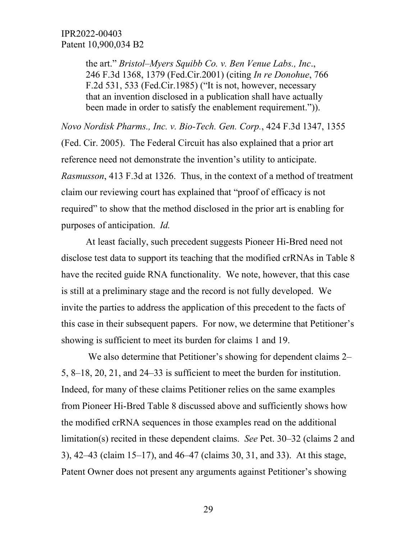the art." *Bristol–Myers Squibb Co. v. Ben Venue Labs., Inc*., 246 F.3d 1368, 1379 (Fed.Cir.2001) (citing *In re Donohue*, 766 F.2d 531, 533 (Fed.Cir.1985) ("It is not, however, necessary that an invention disclosed in a publication shall have actually been made in order to satisfy the enablement requirement.")).

*Novo Nordisk Pharms., Inc. v. Bio-Tech. Gen. Corp.*, 424 F.3d 1347, 1355 (Fed. Cir. 2005). The Federal Circuit has also explained that a prior art reference need not demonstrate the invention's utility to anticipate. *Rasmusson*, 413 F.3d at 1326. Thus, in the context of a method of treatment claim our reviewing court has explained that "proof of efficacy is not required" to show that the method disclosed in the prior art is enabling for purposes of anticipation. *Id.* 

At least facially, such precedent suggests Pioneer Hi-Bred need not disclose test data to support its teaching that the modified crRNAs in Table 8 have the recited guide RNA functionality. We note, however, that this case is still at a preliminary stage and the record is not fully developed. We invite the parties to address the application of this precedent to the facts of this case in their subsequent papers. For now, we determine that Petitioner's showing is sufficient to meet its burden for claims 1 and 19.

We also determine that Petitioner's showing for dependent claims 2– 5, 8–18, 20, 21, and 24–33 is sufficient to meet the burden for institution. Indeed, for many of these claims Petitioner relies on the same examples from Pioneer Hi-Bred Table 8 discussed above and sufficiently shows how the modified crRNA sequences in those examples read on the additional limitation(s) recited in these dependent claims. *See* Pet. 30–32 (claims 2 and 3), 42–43 (claim 15–17), and 46–47 (claims 30, 31, and 33). At this stage, Patent Owner does not present any arguments against Petitioner's showing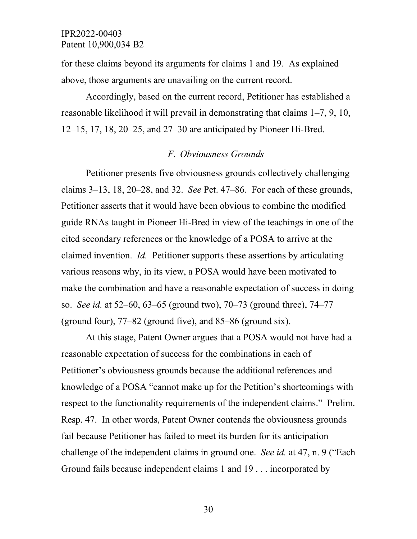for these claims beyond its arguments for claims 1 and 19. As explained above, those arguments are unavailing on the current record.

Accordingly, based on the current record, Petitioner has established a reasonable likelihood it will prevail in demonstrating that claims 1–7, 9, 10, 12–15, 17, 18, 20–25, and 27–30 are anticipated by Pioneer Hi-Bred.

#### *F. Obviousness Grounds*

Petitioner presents five obviousness grounds collectively challenging claims 3–13, 18, 20–28, and 32. *See* Pet. 47–86. For each of these grounds, Petitioner asserts that it would have been obvious to combine the modified guide RNAs taught in Pioneer Hi-Bred in view of the teachings in one of the cited secondary references or the knowledge of a POSA to arrive at the claimed invention. *Id.* Petitioner supports these assertions by articulating various reasons why, in its view, a POSA would have been motivated to make the combination and have a reasonable expectation of success in doing so. *See id.* at 52–60, 63–65 (ground two), 70–73 (ground three), 74–77 (ground four), 77–82 (ground five), and 85–86 (ground six).

At this stage, Patent Owner argues that a POSA would not have had a reasonable expectation of success for the combinations in each of Petitioner's obviousness grounds because the additional references and knowledge of a POSA "cannot make up for the Petition's shortcomings with respect to the functionality requirements of the independent claims." Prelim. Resp. 47. In other words, Patent Owner contends the obviousness grounds fail because Petitioner has failed to meet its burden for its anticipation challenge of the independent claims in ground one. *See id.* at 47, n. 9 ("Each Ground fails because independent claims 1 and 19 . . . incorporated by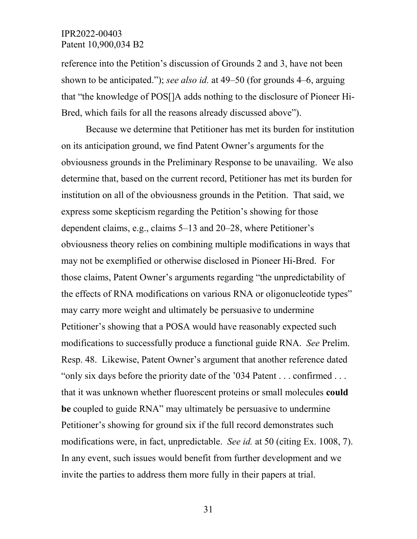reference into the Petition's discussion of Grounds 2 and 3, have not been shown to be anticipated."); *see also id.* at 49–50 (for grounds 4–6, arguing that "the knowledge of POS[]A adds nothing to the disclosure of Pioneer Hi-Bred, which fails for all the reasons already discussed above").

Because we determine that Petitioner has met its burden for institution on its anticipation ground, we find Patent Owner's arguments for the obviousness grounds in the Preliminary Response to be unavailing. We also determine that, based on the current record, Petitioner has met its burden for institution on all of the obviousness grounds in the Petition. That said, we express some skepticism regarding the Petition's showing for those dependent claims, e.g., claims 5–13 and 20–28, where Petitioner's obviousness theory relies on combining multiple modifications in ways that may not be exemplified or otherwise disclosed in Pioneer Hi-Bred. For those claims, Patent Owner's arguments regarding "the unpredictability of the effects of RNA modifications on various RNA or oligonucleotide types" may carry more weight and ultimately be persuasive to undermine Petitioner's showing that a POSA would have reasonably expected such modifications to successfully produce a functional guide RNA. *See* Prelim. Resp. 48. Likewise, Patent Owner's argument that another reference dated "only six days before the priority date of the '034 Patent . . . confirmed . . . that it was unknown whether fluorescent proteins or small molecules **could be** coupled to guide RNA" may ultimately be persuasive to undermine Petitioner's showing for ground six if the full record demonstrates such modifications were, in fact, unpredictable. *See id.* at 50 (citing Ex. 1008, 7). In any event, such issues would benefit from further development and we invite the parties to address them more fully in their papers at trial.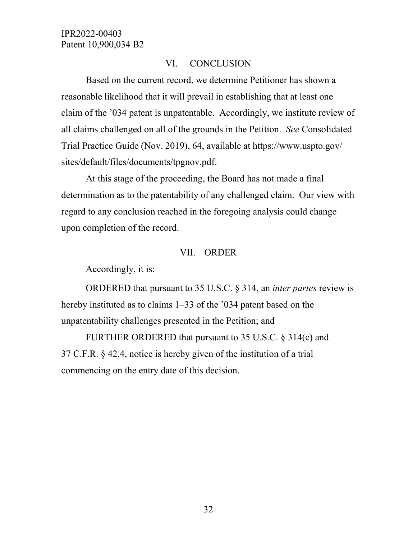#### VI. CONCLUSION

Based on the current record, we determine Petitioner has shown a reasonable likelihood that it will prevail in establishing that at least one claim of the '034 patent is unpatentable. Accordingly, we institute review of all claims challenged on all of the grounds in the Petition. *See* Consolidated Trial Practice Guide (Nov. 2019), 64, available at https://www.uspto.gov/ sites/default/files/documents/tpgnov.pdf.

At this stage of the proceeding, the Board has not made a final determination as to the patentability of any challenged claim. Our view with regard to any conclusion reached in the foregoing analysis could change upon completion of the record.

#### VII. ORDER

Accordingly, it is:

ORDERED that pursuant to 35 U.S.C. § 314, an *inter partes* review is hereby instituted as to claims 1–33 of the '034 patent based on the unpatentability challenges presented in the Petition; and

FURTHER ORDERED that pursuant to 35 U.S.C. § 314(c) and 37 C.F.R. § 42.4, notice is hereby given of the institution of a trial commencing on the entry date of this decision.